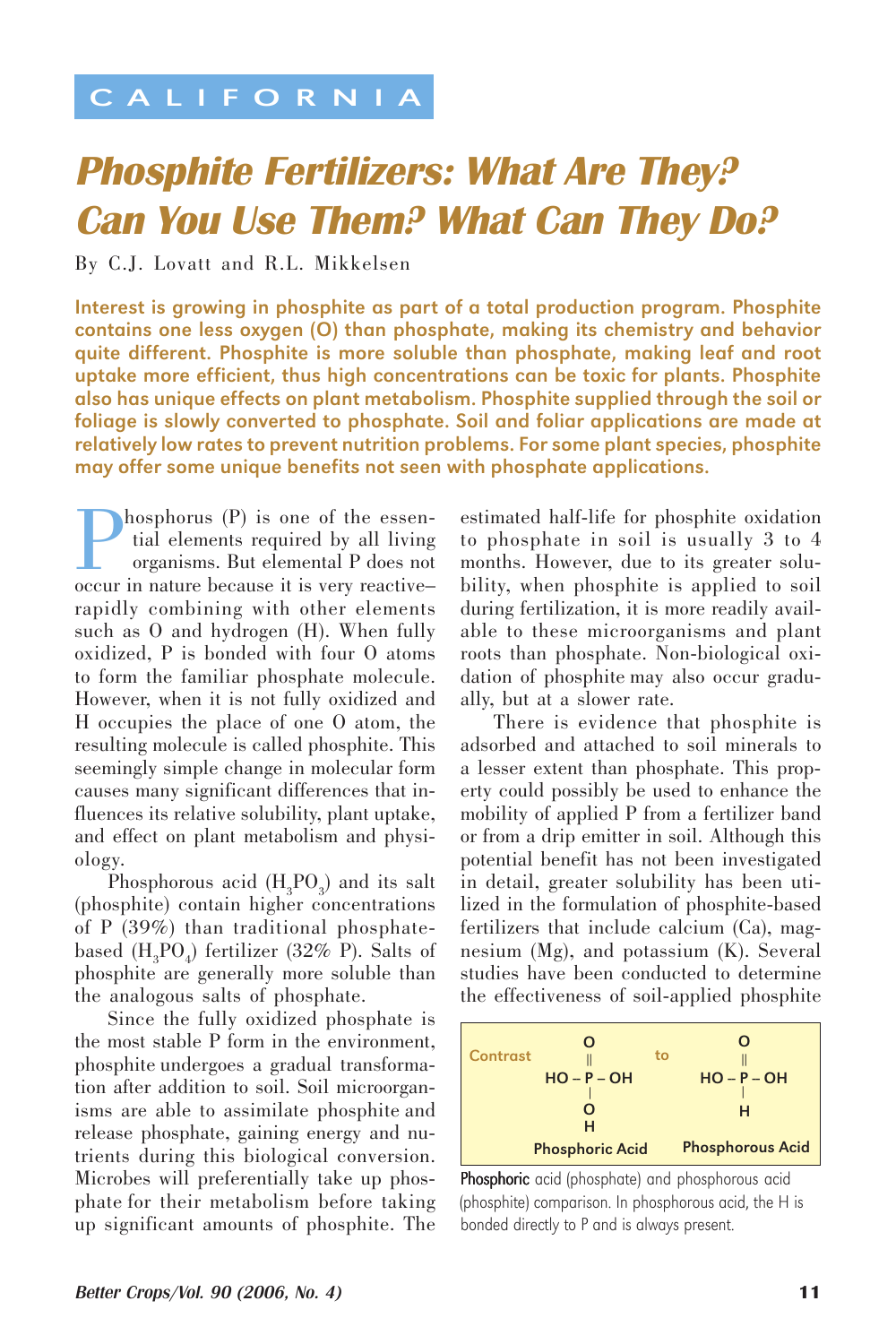## CALIFORNIA

## Phosphite Fertilizers: What Are They? Can You Use Them? What Can They Do?

By C.J. Lovatt and R.L. Mikkelsen

Interest is growing in phosphite as part of a total production program. Phosphite contains one less oxygen (O) than phosphate, making its chemistry and behavior quite different. Phosphite is more soluble than phosphate, making leaf and root uptake more efficient, thus high concentrations can be toxic for plants. Phosphite also has unique effects on plant metabolism. Phosphite supplied through the soil or foliage is slowly converted to phosphate. Soil and foliar applications are made at relatively low rates to prevent nutrition problems. For some plant species, phosphite may offer some unique benefits not seen with phosphate applications.

**Phosphorus (P)** is one of the essential elements required by all living organisms. But elemental P does not occur in nature because it is very reactivetial elements required by all living organisms. But elemental P does not occur in nature because it is very reactive– rapidly combining with other elements such as O and hydrogen (H). When fully oxidized, P is bonded with four O atoms to form the familiar phosphate molecule. However, when it is not fully oxidized and H occupies the place of one O atom, the resulting molecule is called phosphite. This seemingly simple change in molecular form causes many significant differences that influences its relative solubility, plant uptake, and effect on plant metabolism and physiology.

Phosphorous acid  $(H_3PO_3)$  and its salt (phosphite) contain higher concentrations of P (39%) than traditional phosphatebased  $(H_3PO_4)$  fertilizer (32% P). Salts of phosphite are generally more soluble than the analogous salts of phosphate.

Since the fully oxidized phosphate is the most stable P form in the environment, phosphite undergoes a gradual transformation after addition to soil. Soil microorganisms are able to assimilate phosphite and release phosphate, gaining energy and nutrients during this biological conversion. Microbes will preferentially take up phosphate for their metabolism before taking up significant amounts of phosphite. The

estimated half-life for phosphite oxidation to phosphate in soil is usually 3 to 4 months. However, due to its greater solubility, when phosphite is applied to soil during fertilization, it is more readily available to these microorganisms and plant roots than phosphate. Non-biological oxidation of phosphite may also occur gradually, but at a slower rate.

There is evidence that phosphite is adsorbed and attached to soil minerals to a lesser extent than phosphate. This property could possibly be used to enhance the mobility of applied P from a fertilizer band or from a drip emitter in soil. Although this potential benefit has not been investigated in detail, greater solubility has been utilized in the formulation of phosphite-based fertilizers that include calcium (Ca), magnesium (Mg), and potassium (K). Several studies have been conducted to determine the effectiveness of soil-applied phosphite



Phosphoric acid (phosphate) and phosphorous acid (phosphite) comparison. In phosphorous acid, the H is bonded directly to P and is always present.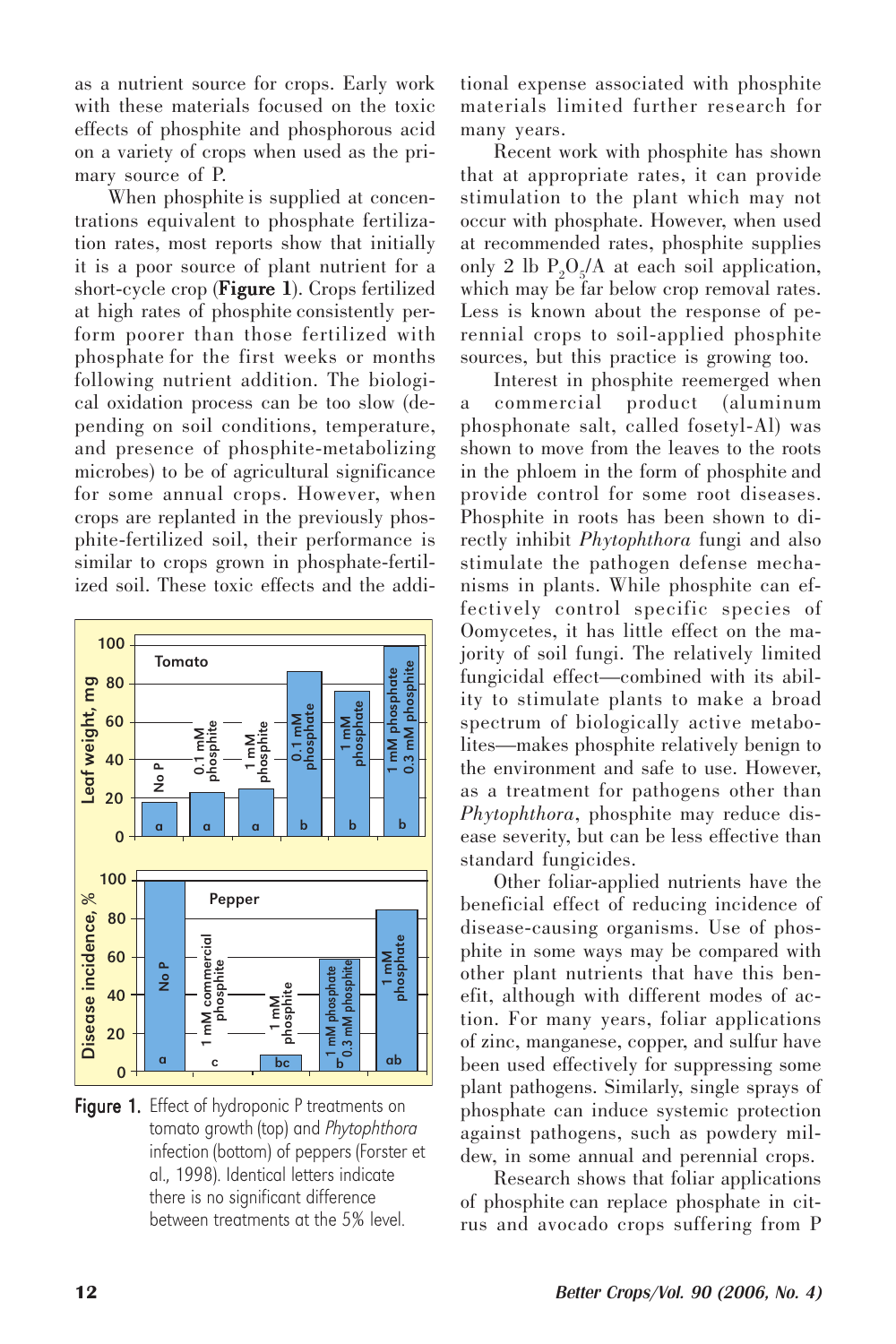as a nutrient source for crops. Early work with these materials focused on the toxic effects of phosphite and phosphorous acid on a variety of crops when used as the primary source of P.

When phosphite is supplied at concentrations equivalent to phosphate fertilization rates, most reports show that initially it is a poor source of plant nutrient for a short-cycle crop ( $Figure 1$ ). Crops fertilized at high rates of phosphite consistently perform poorer than those fertilized with phosphate for the first weeks or months following nutrient addition. The biological oxidation process can be too slow (depending on soil conditions, temperature, and presence of phosphite-metabolizing microbes) to be of agricultural significance for some annual crops. However, when crops are replanted in the previously phosphite-fertilized soil, their performance is similar to crops grown in phosphate-fertilized soil. These toxic effects and the addi-



Figure 1. Effect of hydroponic P treatments on tomato growth (top) and Phytophthora infection (bottom) of peppers (Forster et al., 1998). Identical letters indicate there is no significant difference<br>hetween treatments at the 5% level.

tional expense associated with phosphite materials limited further research for many years.

Recent work with phosphite has shown that at appropriate rates, it can provide stimulation to the plant which may not occur with phosphate. However, when used at recommended rates, phosphite supplies only 2 lb  $P_2O_5/A$  at each soil application, which may be far below crop removal rates. Less is known about the response of perennial crops to soil-applied phosphite sources, but this practice is growing too.

Interest in phosphite reemerged when a commercial product (aluminum phosphonate salt, called fosetyl-Al) was shown to move from the leaves to the roots in the phloem in the form of phosphite and provide control for some root diseases. Phosphite in roots has been shown to directly inhibit *Phytophthora* fungi and also stimulate the pathogen defense mechanisms in plants. While phosphite can effectively control specific species of Oomycetes, it has little effect on the majority of soil fungi. The relatively limited fungicidal effect—combined with its ability to stimulate plants to make a broad spectrum of biologically active metabolites—makes phosphite relatively benign to the environment and safe to use. However, as a treatment for pathogens other than *Phytophthora*, phosphite may reduce disease severity, but can be less effective than standard fungicides.

Other foliar-applied nutrients have the beneficial effect of reducing incidence of disease-causing organisms. Use of phosphite in some ways may be compared with other plant nutrients that have this benefit, although with different modes of action. For many years, foliar applications of zinc, manganese, copper, and sulfur have been used effectively for suppressing some plant pathogens. Similarly, single sprays of phosphate can induce systemic protection against pathogens, such as powdery mildew, in some annual and perennial crops.

Research shows that foliar applications of phosphite can replace phosphate in citrus and avocado crops suffering from P